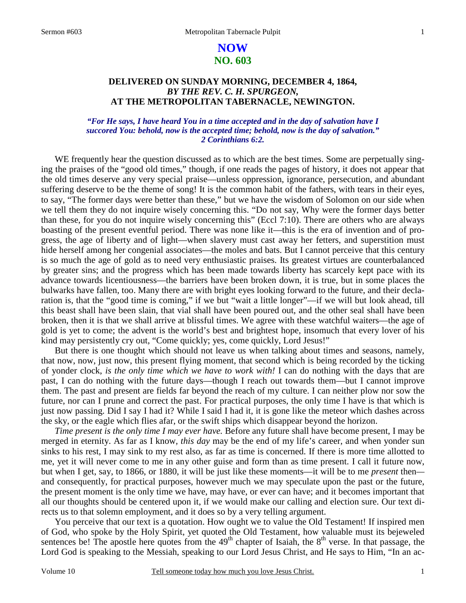# **NOW NO. 603**

# **DELIVERED ON SUNDAY MORNING, DECEMBER 4, 1864,**  *BY THE REV. C. H. SPURGEON,*  **AT THE METROPOLITAN TABERNACLE, NEWINGTON.**

### *"For He says, I have heard You in a time accepted and in the day of salvation have I succored You: behold, now is the accepted time; behold, now is the day of salvation." 2 Corinthians 6:2.*

WE frequently hear the question discussed as to which are the best times. Some are perpetually singing the praises of the "good old times," though, if one reads the pages of history, it does not appear that the old times deserve any very special praise—unless oppression, ignorance, persecution, and abundant suffering deserve to be the theme of song! It is the common habit of the fathers, with tears in their eyes, to say, "The former days were better than these," but we have the wisdom of Solomon on our side when we tell them they do not inquire wisely concerning this. "Do not say, Why were the former days better than these, for you do not inquire wisely concerning this" (Eccl 7:10). There are others who are always boasting of the present eventful period. There was none like it—this is the era of invention and of progress, the age of liberty and of light—when slavery must cast away her fetters, and superstition must hide herself among her congenial associates—the moles and bats. But I cannot perceive that this century is so much the age of gold as to need very enthusiastic praises. Its greatest virtues are counterbalanced by greater sins; and the progress which has been made towards liberty has scarcely kept pace with its advance towards licentiousness—the barriers have been broken down, it is true, but in some places the bulwarks have fallen, too. Many there are with bright eyes looking forward to the future, and their declaration is, that the "good time is coming," if we but "wait a little longer"—if we will but look ahead, till this beast shall have been slain, that vial shall have been poured out, and the other seal shall have been broken, then it is that we shall arrive at blissful times. We agree with these watchful waiters—the age of gold is yet to come; the advent is the world's best and brightest hope, insomuch that every lover of his kind may persistently cry out, "Come quickly; yes, come quickly, Lord Jesus!"

But there is one thought which should not leave us when talking about times and seasons, namely, that now, now, just now, this present flying moment, that second which is being recorded by the ticking of yonder clock, *is the only time which we have to work with!* I can do nothing with the days that are past, I can do nothing with the future days—though I reach out towards them—but I cannot improve them. The past and present are fields far beyond the reach of my culture. I can neither plow nor sow the future, nor can I prune and correct the past. For practical purposes, the only time I have is that which is just now passing. Did I say I had it? While I said I had it, it is gone like the meteor which dashes across the sky, or the eagle which flies afar, or the swift ships which disappear beyond the horizon.

*Time present is the only time I may ever have.* Before any future shall have become present, I may be merged in eternity. As far as I know*, this day* may be the end of my life's career, and when yonder sun sinks to his rest, I may sink to my rest also, as far as time is concerned. If there is more time allotted to me, yet it will never come to me in any other guise and form than as time present. I call it future now, but when I get, say, to 1866, or 1880, it will be just like these moments—it will be to me *present* then and consequently, for practical purposes, however much we may speculate upon the past or the future, the present moment is the only time we have, may have, or ever can have; and it becomes important that all our thoughts should be centered upon it, if we would make our calling and election sure. Our text directs us to that solemn employment, and it does so by a very telling argument.

You perceive that our text is a quotation. How ought we to value the Old Testament! If inspired men of God, who spoke by the Holy Spirit, yet quoted the Old Testament, how valuable must its bejeweled sentences be! The apostle here quotes from the  $49<sup>th</sup>$  chapter of Isaiah, the  $8<sup>th</sup>$  verse. In that passage, the Lord God is speaking to the Messiah, speaking to our Lord Jesus Christ, and He says to Him, "In an ac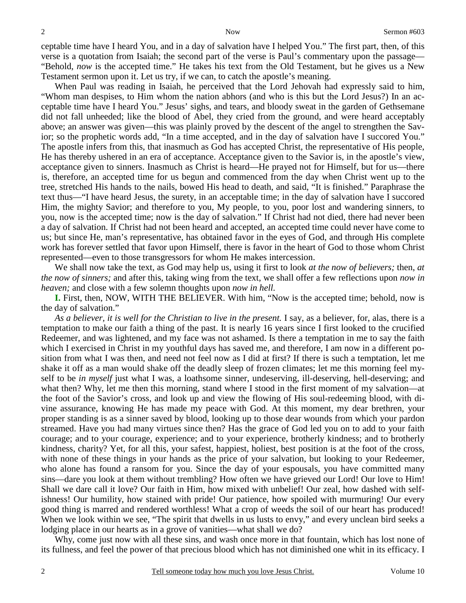ceptable time have I heard You, and in a day of salvation have I helped You." The first part, then, of this verse is a quotation from Isaiah; the second part of the verse is Paul's commentary upon the passage— "Behold, *now* is the accepted time." He takes his text from the Old Testament, but he gives us a New Testament sermon upon it. Let us try, if we can, to catch the apostle's meaning.

When Paul was reading in Isaiah, he perceived that the Lord Jehovah had expressly said to him, "Whom man despises, to Him whom the nation abhors (and who is this but the Lord Jesus?) In an acceptable time have I heard You." Jesus' sighs, and tears, and bloody sweat in the garden of Gethsemane did not fall unheeded; like the blood of Abel, they cried from the ground, and were heard acceptably above; an answer was given—this was plainly proved by the descent of the angel to strengthen the Savior; so the prophetic words add, "In a time accepted, and in the day of salvation have I succored You." The apostle infers from this, that inasmuch as God has accepted Christ, the representative of His people, He has thereby ushered in an era of acceptance. Acceptance given to the Savior is, in the apostle's view, acceptance given to sinners. Inasmuch as Christ is heard—He prayed not for Himself, but for us—there is, therefore, an accepted time for us begun and commenced from the day when Christ went up to the tree, stretched His hands to the nails, bowed His head to death, and said, "It is finished." Paraphrase the text thus—"I have heard Jesus, the surety, in an acceptable time; in the day of salvation have I succored Him, the mighty Savior; and therefore to you, My people, to you, poor lost and wandering sinners, to you, now is the accepted time; now is the day of salvation." If Christ had not died, there had never been a day of salvation. If Christ had not been heard and accepted, an accepted time could never have come to us; but since He, man's representative, has obtained favor in the eyes of God, and through His complete work has forever settled that favor upon Himself, there is favor in the heart of God to those whom Christ represented—even to those transgressors for whom He makes intercession.

We shall now take the text, as God may help us, using it first to look *at the now of believers;* then, *at the now of sinners;* and after this, taking wing from the text, we shall offer a few reflections upon *now in heaven;* and close with a few solemn thoughts upon *now in hell.*

**I.** First, then, NOW, WITH THE BELIEVER. With him, "Now is the accepted time; behold, now is the day of salvation."

*As a believer, it is well for the Christian to live in the present.* I say, as a believer, for, alas, there is a temptation to make our faith a thing of the past. It is nearly 16 years since I first looked to the crucified Redeemer, and was lightened, and my face was not ashamed. Is there a temptation in me to say the faith which I exercised in Christ in my youthful days has saved me, and therefore, I am now in a different position from what I was then, and need not feel now as I did at first? If there is such a temptation, let me shake it off as a man would shake off the deadly sleep of frozen climates; let me this morning feel myself to be *in myself* just what I was, a loathsome sinner, undeserving, ill-deserving, hell-deserving; and what then? Why, let me then this morning, stand where I stood in the first moment of my salvation—at the foot of the Savior's cross, and look up and view the flowing of His soul-redeeming blood, with divine assurance, knowing He has made my peace with God. At this moment, my dear brethren, your proper standing is as a sinner saved by blood, looking up to those dear wounds from which your pardon streamed. Have you had many virtues since then? Has the grace of God led you on to add to your faith courage; and to your courage, experience; and to your experience, brotherly kindness; and to brotherly kindness, charity? Yet, for all this, your safest, happiest, holiest, best position is at the foot of the cross, with none of these things in your hands as the price of your salvation, but looking to your Redeemer, who alone has found a ransom for you. Since the day of your espousals, you have committed many sins—dare you look at them without trembling? How often we have grieved our Lord! Our love to Him! Shall we dare call it love? Our faith in Him, how mixed with unbelief! Our zeal, how dashed with selfishness! Our humility, how stained with pride! Our patience, how spoiled with murmuring! Our every good thing is marred and rendered worthless! What a crop of weeds the soil of our heart has produced! When we look within we see, "The spirit that dwells in us lusts to envy," and every unclean bird seeks a lodging place in our hearts as in a grove of vanities—what shall we do?

Why, come just now with all these sins, and wash once more in that fountain, which has lost none of its fullness, and feel the power of that precious blood which has not diminished one whit in its efficacy. I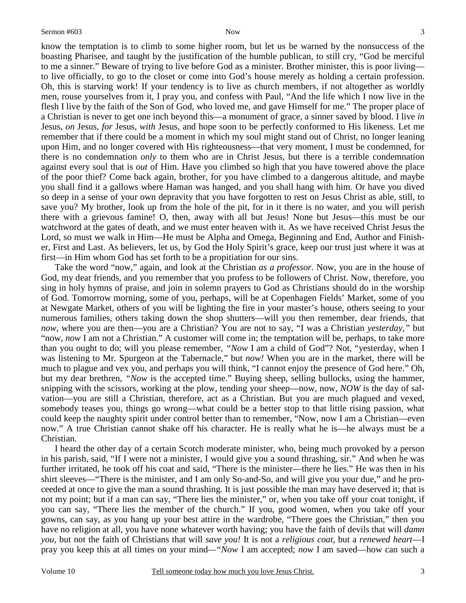know the temptation is to climb to some higher room, but let us be warned by the nonsuccess of the boasting Pharisee, and taught by the justification of the humble publican, to still cry, "God be merciful to me a sinner." Beware of trying to live before God as a minister. Brother minister, this is poor living to live officially, to go to the closet or come into God's house merely as holding a certain profession. Oh, this is starving work! If your tendency is to live as church members, if not altogether as worldly men, rouse yourselves from it, I pray you, and confess with Paul, "And the life which I now live in the flesh I live by the faith of the Son of God, who loved me, and gave Himself for me." The proper place of a Christian is never to get one inch beyond this—a monument of grace, a sinner saved by blood. I live *in* Jesus, *on* Jesus, *for* Jesus, *with* Jesus, and hope soon to be perfectly conformed to His likeness. Let me remember that if there could be a moment in which my soul might stand out of Christ, no longer leaning upon Him, and no longer covered with His righteousness—that very moment, I must be condemned, for there is no condemnation *only* to them who are in Christ Jesus, but there is a terrible condemnation against every soul that is *out* of Him. Have you climbed so high that you have towered above the place of the poor thief? Come back again, brother, for you have climbed to a dangerous altitude, and maybe you shall find it a gallows where Haman was hanged, and you shall hang with him. Or have you dived so deep in a sense of your own depravity that you have forgotten to rest on Jesus Christ as able, still, to save you? My brother, look up from the hole of the pit, for in it there is no water, and you will perish there with a grievous famine! O, then, away with all but Jesus! None but Jesus—this must be our watchword at the gates of death, and we must enter heaven with it. As we have received Christ Jesus the Lord, so must we walk in Him—He must be Alpha and Omega, Beginning and End, Author and Finisher, First and Last. As believers, let us, by God the Holy Spirit's grace, keep our trust just where it was at first—in Him whom God has set forth to be a propitiation for our sins.

Take the word "now," again, and look at the Christian *as a professor*. Now, you are in the house of God, my dear friends, and you remember that you profess to be followers of Christ. Now, therefore, you sing in holy hymns of praise, and join in solemn prayers to God as Christians should do in the worship of God. Tomorrow morning, some of you, perhaps, will be at Copenhagen Fields' Market, some of you at Newgate Market, others of you will be lighting the fire in your master's house, others seeing to your numerous families, others taking down the shop shutters—will you then remember, dear friends, that *now*, where you are then—you are a Christian? You are not to say, "I was a Christian *yesterday,"* but "now, *now* I am not a Christian." A customer will come in; the temptation will be, perhaps, to take more than you ought to do; will you please remember, *"Now* I am a child of God"? Not, "yesterday, when I was listening to Mr. Spurgeon at the Tabernacle," but *now!* When you are in the market, there will be much to plague and vex you, and perhaps you will think, "I cannot enjoy the presence of God here." Oh, but my dear brethren, *"Now* is the accepted time." Buying sheep, selling bullocks, using the hammer, snipping with the scissors, working at the plow, tending your sheep—now, now, *NOW* is the day of salvation—you are still a Christian, therefore, act as a Christian. But you are much plagued and vexed, somebody teases you, things go wrong—what could be a better stop to that little rising passion, what could keep the naughty spirit under control better than to remember, "Now, now I am a Christian—even now." A true Christian cannot shake off his character. He is really what he is—he always must be a Christian.

I heard the other day of a certain Scotch moderate minister, who, being much provoked by a person in his parish, said, "If I were not a minister, I would give you a sound thrashing, sir." And when he was further irritated, he took off his coat and said, "There is the minister—there he lies." He was then in his shirt sleeves—"There is the minister, and I am only So-and-So, and will give you your due," and he proceeded at once to give the man a sound thrashing. It is just possible the man may have deserved it; that is not my point; but if a man can say, "There lies the minister," or, when you take off your coat tonight, if you can say, "There lies the member of the church." If you, good women, when you take off your gowns, can say, as you hang up your best attire in the wardrobe, "There goes the Christian," then you have no religion at all, you have none whatever worth having; you have the faith of devils that will *damn you,* but not the faith of Christians that will *save you!* It is not a *religious coat,* but a *renewed heart*—I pray you keep this at all times on your mind*—"Now* I am accepted; *now* I am saved—how can such a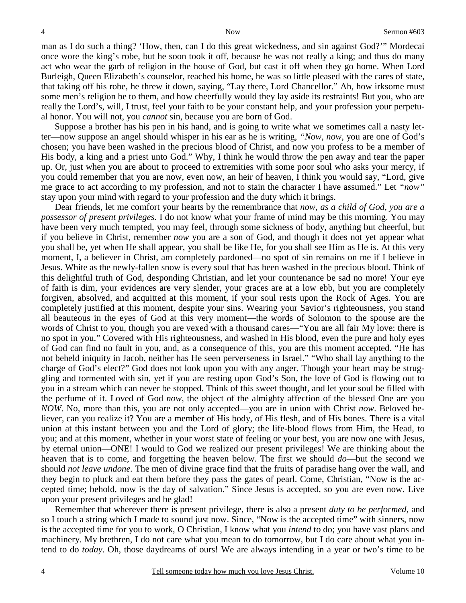man as I do such a thing? 'How, then, can I do this great wickedness, and sin against God?'" Mordecai once wore the king's robe, but he soon took it off, because he was not really a king; and thus do many act who wear the garb of religion in the house of God, but cast it off when they go home. When Lord Burleigh, Queen Elizabeth's counselor, reached his home, he was so little pleased with the cares of state, that taking off his robe, he threw it down, saying, "Lay there, Lord Chancellor." Ah, how irksome must some men's religion be to them, and how cheerfully would they lay aside its restraints! But you, who are really the Lord's, will, I trust, feel your faith to be your constant help, and your profession your perpetual honor. You will not, you *cannot* sin, because you are born of God.

Suppose a brother has his pen in his hand, and is going to write what we sometimes call a nasty letter—now suppose an angel should whisper in his ear as he is writing, *"Now, now,* you are one of God's chosen; you have been washed in the precious blood of Christ, and now you profess to be a member of His body, a king and a priest unto God." Why, I think he would throw the pen away and tear the paper up. Or, just when you are about to proceed to extremities with some poor soul who asks your mercy, if you could remember that you are now, even now, an heir of heaven, I think you would say, "Lord, give me grace to act according to my profession, and not to stain the character I have assumed." Let *"now"* stay upon your mind with regard to your profession and the duty which it brings.

Dear friends, let me comfort your hearts by the remembrance that *now, as a child of God, you are a possessor of present privileges.* I do not know what your frame of mind may be this morning. You may have been very much tempted, you may feel, through some sickness of body, anything but cheerful, but if you believe in Christ, remember *now* you are a son of God, and though it does not yet appear what you shall be, yet when He shall appear, you shall be like He, for you shall see Him as He is. At this very moment, I, a believer in Christ, am completely pardoned—no spot of sin remains on me if I believe in Jesus. White as the newly-fallen snow is every soul that has been washed in the precious blood. Think of this delightful truth of God, desponding Christian, and let your countenance be sad no more! Your eye of faith is dim, your evidences are very slender, your graces are at a low ebb, but you are completely forgiven, absolved, and acquitted at this moment, if your soul rests upon the Rock of Ages. You are completely justified at this moment, despite your sins. Wearing your Savior's righteousness, you stand all beauteous in the eyes of God at this very moment—the words of Solomon to the spouse are the words of Christ to you, though you are vexed with a thousand cares—"You are all fair My love: there is no spot in you." Covered with His righteousness, and washed in His blood, even the pure and holy eyes of God can find no fault in you, and, as a consequence of this, you are this moment accepted. "He has not beheld iniquity in Jacob, neither has He seen perverseness in Israel." "Who shall lay anything to the charge of God's elect?" God does not look upon you with any anger. Though your heart may be struggling and tormented with sin, yet if you are resting upon God's Son, the love of God is flowing out to you in a stream which can never be stopped. Think of this sweet thought, and let your soul be filled with the perfume of it. Loved of God *now*, the object of the almighty affection of the blessed One are you *NOW*. No, more than this, you are not only accepted—you are in union with Christ *now*. Beloved believer, can you realize it? You are a member of His body, of His flesh, and of His bones. There is a vital union at this instant between you and the Lord of glory; the life-blood flows from Him, the Head, to you; and at this moment, whether in your worst state of feeling or your best, you are now one with Jesus, by eternal union—ONE! I would to God we realized our present privileges! We are thinking about the heaven that is to come, and forgetting the heaven below. The first we should *do*—but the second we should *not leave undone.* The men of divine grace find that the fruits of paradise hang over the wall, and they begin to pluck and eat them before they pass the gates of pearl. Come, Christian, "Now is the accepted time; behold, now is the day of salvation." Since Jesus is accepted, so you are even now. Live upon your present privileges and be glad!

Remember that wherever there is present privilege, there is also a present *duty to be performed,* and so I touch a string which I made to sound just now. Since, "Now is the accepted time" with sinners, now is the accepted time for you to work, O Christian, I know what you *intend* to do; you have vast plans and machinery. My brethren, I do not care what you mean to do tomorrow, but I do care about what you intend to do *today*. Oh, those daydreams of ours! We are always intending in a year or two's time to be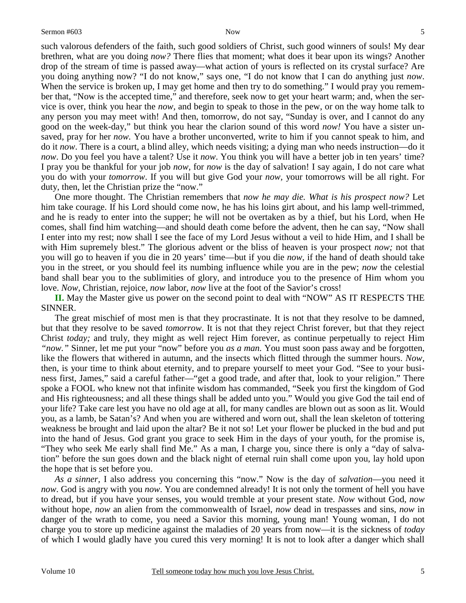such valorous defenders of the faith, such good soldiers of Christ, such good winners of souls! My dear brethren, what are you doing *now?* There flies that moment; what does it bear upon its wings? Another drop of the stream of time is passed away—what action of yours is reflected on its crystal surface? Are you doing anything now? "I do not know," says one, "I do not know that I can do anything just *now*. When the service is broken up, I may get home and then try to do something." I would pray you remember that, "Now is the accepted time," and therefore, seek now to get your heart warm; and, when the service is over, think you hear the *now,* and begin to speak to those in the pew, or on the way home talk to any person you may meet with! And then, tomorrow, do not say, "Sunday is over, and I cannot do any good on the week-day," but think you hear the clarion sound of this word *now!* You have a sister unsaved, pray for her *now.* You have a brother unconverted, write to him if you cannot speak to him, and do it *now*. There is a court, a blind alley, which needs visiting; a dying man who needs instruction—do it *now*. Do you feel you have a talent? Use it *now*. You think you will have a better job in ten years' time? I pray you be thankful for your job *now,* for *now* is the day of salvation! I say again, I do not care what you do with your *tomorrow*. If you will but give God your *now,* your tomorrows will be all right. For duty, then, let the Christian prize the "now."

One more thought. The Christian remembers that *now he may die. What is his prospect now?* Let him take courage. If his Lord should come now, he has his loins girt about, and his lamp well-trimmed, and he is ready to enter into the supper; he will not be overtaken as by a thief, but his Lord, when He comes, shall find him watching—and should death come before the advent, then he can say, "Now shall I enter into my rest; now shall I see the face of my Lord Jesus without a veil to hide Him, and I shall be with Him supremely blest." The glorious advent or the bliss of heaven is your prospect *now;* not that you will go to heaven if you die in 20 years' time—but if you die *now,* if the hand of death should take you in the street, or you should feel its numbing influence while you are in the pew; *now* the celestial band shall bear you to the sublimities of glory, and introduce you to the presence of Him whom you love. *Now,* Christian, rejoice, *now* labor, *now* live at the foot of the Savior's cross!

**II.** May the Master give us power on the second point to deal with "NOW" AS IT RESPECTS THE SINNER.

The great mischief of most men is that they procrastinate. It is not that they resolve to be damned, but that they resolve to be saved *tomorrow*. It is not that they reject Christ forever, but that they reject Christ *today;* and truly, they might as well reject Him forever, as continue perpetually to reject Him *"now."* Sinner, let me put your "now" before you *as a man.* You must soon pass away and be forgotten, like the flowers that withered in autumn, and the insects which flitted through the summer hours. *Now,*  then, is your time to think about eternity, and to prepare yourself to meet your God. "See to your business first, James," said a careful father—"get a good trade, and after that, look to your religion." There spoke a FOOL who knew not that infinite wisdom has commanded, "Seek you first the kingdom of God and His righteousness; and all these things shall be added unto you." Would you give God the tail end of your life? Take care lest you have no old age at all, for many candles are blown out as soon as lit. Would you, as a lamb, be Satan's? And when you are withered and worn out, shall the lean skeleton of tottering weakness be brought and laid upon the altar? Be it not so! Let your flower be plucked in the bud and put into the hand of Jesus. God grant you grace to seek Him in the days of your youth, for the promise is, "They who seek Me early shall find Me." As a man, I charge you, since there is only a "day of salvation" before the sun goes down and the black night of eternal ruin shall come upon you, lay hold upon the hope that is set before you.

*As a sinner,* I also address you concerning this "now." Now is the day of *salvation*—you need it *now*. God is angry with you *now*. You are condemned already! It is not only the torment of hell you have to dread, but if you have your senses, you would tremble at your present state. *Now* without God, *now* without hope, *now* an alien from the commonwealth of Israel, *now* dead in trespasses and sins, *now* in danger of the wrath to come, you need a Savior this morning, young man! Young woman, I do not charge you to store up medicine against the maladies of 20 years from now—it is the sickness of *today* of which I would gladly have you cured this very morning! It is not to look after a danger which shall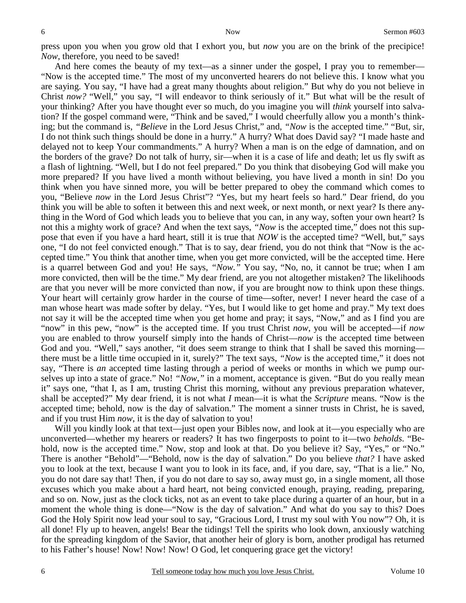press upon you when you grow old that I exhort you, but *now* you are on the brink of the precipice! *Now*, therefore, you need to be saved!

And here comes the beauty of my text—as a sinner under the gospel, I pray you to remember— "Now is the accepted time." The most of my unconverted hearers do not believe this. I know what you are saying. You say, "I have had a great many thoughts about religion." But why do you not believe in Christ *now?* "Well," you say, "I will endeavor to think seriously of it." But what will be the result of your thinking? After you have thought ever so much, do you imagine you will *think* yourself into salvation? If the gospel command were, "Think and be saved," I would cheerfully allow you a month's thinking; but the command is, *"Believe* in the Lord Jesus Christ," and, *"Now* is the accepted time." "But, sir, I do not think such things should be done in a hurry." A hurry? What does David say? "I made haste and delayed not to keep Your commandments." A hurry? When a man is on the edge of damnation, and on the borders of the grave? Do not talk of hurry, sir—when it is a case of life and death; let us fly swift as a flash of lightning. "Well, but I do not feel prepared." Do you think that disobeying God will make you more prepared? If you have lived a month without believing, you have lived a month in sin! Do you think when you have sinned more, you will be better prepared to obey the command which comes to you, "Believe *now* in the Lord Jesus Christ"? "Yes, but my heart feels so hard." Dear friend, do you think you will be able to soften it between this and next week, or next month, or next year? Is there anything in the Word of God which leads you to believe that you can, in any way, soften your own heart? Is not this a mighty work of grace? And when the text says, *"Now* is the accepted time," does not this suppose that even if you have a hard heart, still it is true that *NOW* is the accepted time? "Well, but," says one, "I do not feel convicted enough." That is to say, dear friend, you do not think that "Now is the accepted time." You think that another time, when you get more convicted, will be the accepted time. Here is a quarrel between God and you! He says, *"Now."* You say, "No, no, it cannot be true; when I am more convicted, then will be the time." My dear friend, are you not altogether mistaken? The likelihoods are that you never will be more convicted than now, if you are brought now to think upon these things. Your heart will certainly grow harder in the course of time—softer, never! I never heard the case of a man whose heart was made softer by delay. "Yes, but I would like to get home and pray." My text does not say it will be the accepted time when you get home and pray; it says, "Now," and as I find you are "now" in this pew, "now" is the accepted time. If you trust Christ *now*, you will be accepted—if *now* you are enabled to throw yourself simply into the hands of Christ—*now* is the accepted time between God and you. "Well," says another, "it does seem strange to think that I shall be saved this morning there must be a little time occupied in it, surely?" The text says, *"Now* is the accepted time," it does not say, "There is *an* accepted time lasting through a period of weeks or months in which we pump ourselves up into a state of grace." No! *"Now,"* in a moment, acceptance is given. "But do you really mean it" says one, "that I, as I am, trusting Christ this morning, without any previous preparation whatever, shall be accepted?" My dear friend, it is not what *I* mean—it is what the *Scripture* means. "Now is the accepted time; behold, now is the day of salvation." The moment a sinner trusts in Christ, he is saved, and if you trust Him *now*, it is the day of salvation to you!

Will you kindly look at that text—just open your Bibles now, and look at it—you especially who are unconverted—whether my hearers or readers? It has two fingerposts to point to it—two *beholds*. "Behold, now is the accepted time." Now, stop and look at that. Do you believe it? Say, "Yes," or "No." There is another "Behold"—"Behold, now is the day of salvation." Do you believe *that?* I have asked you to look at the text, because I want you to look in its face, and, if you dare, say, "That is a lie." No, you do not dare say that! Then, if you do not dare to say so, away must go, in a single moment, all those excuses which you make about a hard heart, not being convicted enough, praying, reading, preparing, and so on. Now, just as the clock ticks, not as an event to take place during a quarter of an hour, but in a moment the whole thing is done—"Now is the day of salvation." And what do you say to this? Does God the Holy Spirit now lead your soul to say, "Gracious Lord, I trust my soul with You now"? Oh, it is all done! Fly up to heaven, angels! Bear the tidings! Tell the spirits who look down, anxiously watching for the spreading kingdom of the Savior, that another heir of glory is born, another prodigal has returned to his Father's house! Now! Now! Now! O God, let conquering grace get the victory!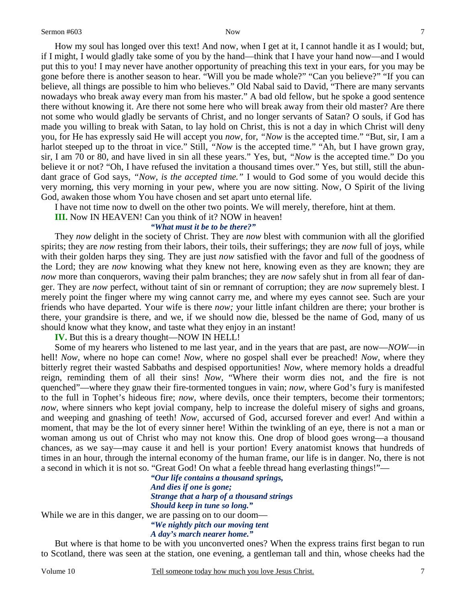How my soul has longed over this text! And now, when I get at it, I cannot handle it as I would; but, if I might, I would gladly take some of you by the hand—think that I have your hand now—and I would put this to you! I may never have another opportunity of preaching this text in your ears, for you may be gone before there is another season to hear. "Will you be made whole?" "Can you believe?" "If you can believe, all things are possible to him who believes." Old Nabal said to David, "There are many servants nowadays who break away every man from his master." A bad old fellow, but he spoke a good sentence there without knowing it. Are there not some here who will break away from their old master? Are there not some who would gladly be servants of Christ, and no longer servants of Satan? O souls, if God has made you willing to break with Satan, to lay hold on Christ, this is not a day in which Christ will deny you, for He has expressly said He will accept you *now,* for, *"Now* is the accepted time." "But, sir, I am a harlot steeped up to the throat in vice." Still, *"Now* is the accepted time." "Ah, but I have grown gray, sir, I am 70 or 80, and have lived in sin all these years." Yes, but, *"Now* is the accepted time." Do you believe it or not? "Oh, I have refused the invitation a thousand times over." Yes, but still, still the abundant grace of God says, *"Now, is the accepted time."* I would to God some of you would decide this very morning, this very morning in your pew, where you are now sitting. Now, O Spirit of the living God, awaken those whom You have chosen and set apart unto eternal life.

I have not time now to dwell on the other two points. We will merely, therefore, hint at them.

**III.** Now IN HEAVEN! Can you think of it? NOW in heaven!

*"What must it be to be there?"* 

They *now* delight in the society of Christ. They are *now* blest with communion with all the glorified spirits; they are *now* resting from their labors, their toils, their sufferings; they are *now* full of joys, while with their golden harps they sing. They are just *now* satisfied with the favor and full of the goodness of the Lord; they are *now* knowing what they knew not here, knowing even as they are known; they are *now* more than conquerors, waving their palm branches; they are *now* safely shut in from all fear of danger. They are *now* perfect, without taint of sin or remnant of corruption; they are *now* supremely blest. I merely point the finger where my wing cannot carry me, and where my eyes cannot see. Such are your friends who have departed. Your wife is there *now;* your little infant children are there; your brother is there, your grandsire is there, and we, if we should now die, blessed be the name of God, many of us should know what they know, and taste what they enjoy in an instant!

**IV.** But this is a dreary thought—NOW IN HELL!

Some of my hearers who listened to me last year, and in the years that are past, are now—*NOW*—in hell! *Now,* where no hope can come! *Now,* where no gospel shall ever be preached! *Now,* where they bitterly regret their wasted Sabbaths and despised opportunities! *Now,* where memory holds a dreadful reign, reminding them of all their sins! *Now,* "Where their worm dies not, and the fire is not quenched"—where they gnaw their fire-tormented tongues in vain; *now,* where God's fury is manifested to the full in Tophet's hideous fire; *now,* where devils, once their tempters, become their tormentors; *now*, where sinners who kept jovial company, help to increase the doleful misery of sighs and groans, and weeping and gnashing of teeth! *Now,* accursed of God, accursed forever and ever! And within a moment, that may be the lot of every sinner here! Within the twinkling of an eye, there is not a man or woman among us out of Christ who may not know this. One drop of blood goes wrong—a thousand chances, as we say—may cause it and hell is your portion! Every anatomist knows that hundreds of times in an hour, through the internal economy of the human frame, our life is in danger. No, there is not a second in which it is not so. "Great God! On what a feeble thread hang everlasting things!"—

*"Our life contains a thousand springs, And dies if one is gone; Strange that a harp of a thousand strings Should keep in tune so long."*  While we are in this danger, we are passing on to our doom— *"We nightly pitch our moving tent* 

*A day's march nearer home."* 

But where is that home to be with you unconverted ones? When the express trains first began to run to Scotland, there was seen at the station, one evening, a gentleman tall and thin, whose cheeks had the